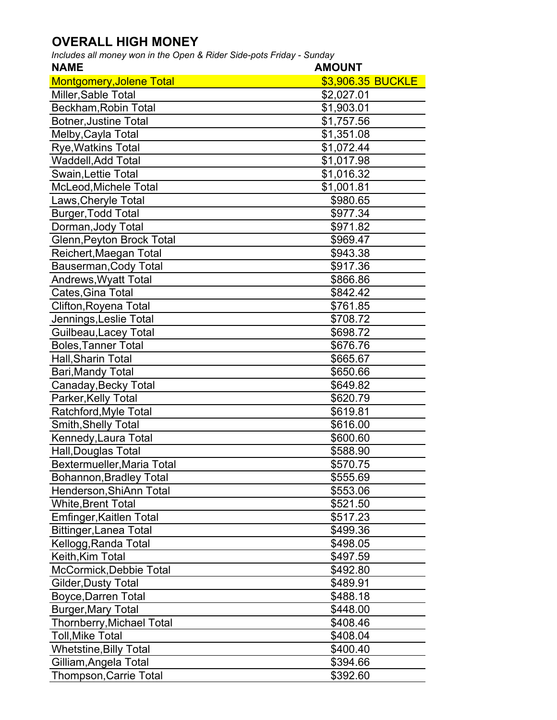## **OVERALL HIGH MONEY**

*Includes all money won in the Open & Rider Side-pots Friday - Sunday*

| <b>NAME</b>                     | <b>AMOUNT</b>     |
|---------------------------------|-------------------|
| <b>Montgomery, Jolene Total</b> | \$3,906.35 BUCKLE |
| Miller, Sable Total             | \$2,027.01        |
| Beckham, Robin Total            | \$1,903.01        |
| <b>Botner, Justine Total</b>    | \$1,757.56        |
| Melby, Cayla Total              | \$1,351.08        |
| <b>Rye, Watkins Total</b>       | \$1,072.44        |
| <b>Waddell, Add Total</b>       | \$1,017.98        |
| Swain, Lettie Total             | \$1,016.32        |
| McLeod, Michele Total           | \$1,001.81        |
| Laws, Cheryle Total             | \$980.65          |
| Burger, Todd Total              | \$977.34          |
| Dorman, Jody Total              | \$971.82          |
| Glenn, Peyton Brock Total       | \$969.47          |
| Reichert, Maegan Total          | \$943.38          |
| Bauserman, Cody Total           | \$917.36          |
| <b>Andrews, Wyatt Total</b>     | \$866.86          |
| Cates, Gina Total               | \$842.42          |
| Clifton, Royena Total           | \$761.85          |
| Jennings, Leslie Total          | \$708.72          |
| Guilbeau, Lacey Total           | \$698.72          |
| <b>Boles, Tanner Total</b>      | \$676.76          |
| Hall, Sharin Total              | \$665.67          |
| Bari, Mandy Total               | \$650.66          |
| Canaday, Becky Total            | \$649.82          |
| Parker, Kelly Total             | \$620.79          |
| Ratchford, Myle Total           | \$619.81          |
| Smith, Shelly Total             | \$616.00          |
| Kennedy, Laura Total            | \$600.60          |
| Hall, Douglas Total             | \$588.90          |
| Bextermueller, Maria Total      | \$570.75          |
| <b>Bohannon, Bradley Total</b>  | \$555.69          |
| Henderson, ShiAnn Total         | \$553.06          |
| <b>White, Brent Total</b>       | \$521.50          |
| Emfinger, Kaitlen Total         | \$517.23          |
| <b>Bittinger, Lanea Total</b>   | \$499.36          |
| Kellogg, Randa Total            | \$498.05          |
| Keith, Kim Total                | \$497.59          |
| McCormick, Debbie Total         | \$492.80          |
| Gilder, Dusty Total             | \$489.91          |
| Boyce, Darren Total             | \$488.18          |
| <b>Burger, Mary Total</b>       | \$448.00          |
| Thornberry, Michael Total       | \$408.46          |
| <b>Toll, Mike Total</b>         | \$408.04          |
| <b>Whetstine, Billy Total</b>   | \$400.40          |
| Gilliam, Angela Total           | \$394.66          |
| Thompson, Carrie Total          | \$392.60          |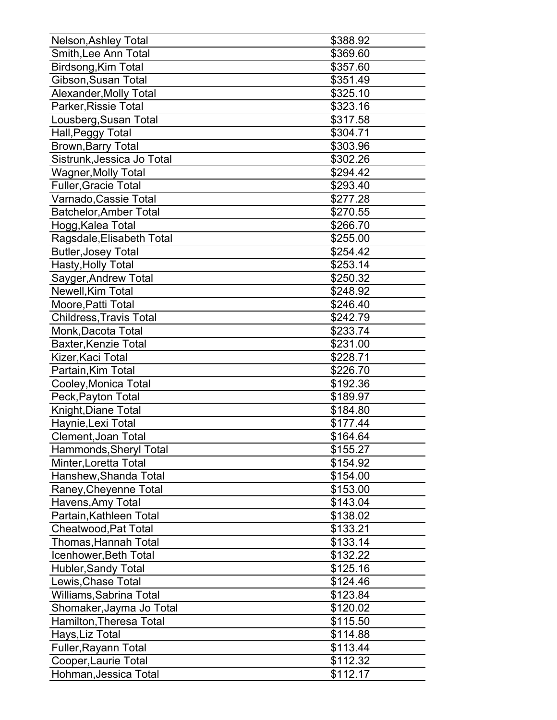| Nelson, Ashley Total           | \$388.92 |
|--------------------------------|----------|
| Smith, Lee Ann Total           | \$369.60 |
| Birdsong, Kim Total            | \$357.60 |
| Gibson, Susan Total            | \$351.49 |
| Alexander, Molly Total         | \$325.10 |
| Parker, Rissie Total           | \$323.16 |
| Lousberg, Susan Total          | \$317.58 |
| Hall, Peggy Total              | \$304.71 |
| Brown, Barry Total             | \$303.96 |
| Sistrunk, Jessica Jo Total     | \$302.26 |
| <b>Wagner, Molly Total</b>     | \$294.42 |
| <b>Fuller, Gracie Total</b>    | \$293.40 |
| Varnado, Cassie Total          | \$277.28 |
| <b>Batchelor, Amber Total</b>  | \$270.55 |
| Hogg, Kalea Total              | \$266.70 |
| Ragsdale, Elisabeth Total      | \$255.00 |
| <b>Butler, Josey Total</b>     | \$254.42 |
| Hasty, Holly Total             | \$253.14 |
| Sayger, Andrew Total           | \$250.32 |
| Newell, Kim Total              | \$248.92 |
| Moore, Patti Total             | \$246.40 |
| <b>Childress, Travis Total</b> | \$242.79 |
| Monk, Dacota Total             | \$233.74 |
| <b>Baxter, Kenzie Total</b>    | \$231.00 |
| Kizer, Kaci Total              | \$228.71 |
| Partain, Kim Total             | \$226.70 |
| Cooley, Monica Total           | \$192.36 |
| Peck, Payton Total             | \$189.97 |
| Knight, Diane Total            | \$184.80 |
| Haynie, Lexi Total             | \$177.44 |
| <b>Clement, Joan Total</b>     | \$164.64 |
| Hammonds, Sheryl Total         | \$155.27 |
| Minter, Loretta Total          | \$154.92 |
| Hanshew, Shanda Total          | \$154.00 |
| Raney, Cheyenne Total          | \$153.00 |
| Havens, Amy Total              | \$143.04 |
| Partain, Kathleen Total        | \$138.02 |
| Cheatwood, Pat Total           | \$133.21 |
| Thomas, Hannah Total           | \$133.14 |
| Icenhower, Beth Total          | \$132.22 |
| Hubler, Sandy Total            | \$125.16 |
| Lewis, Chase Total             | \$124.46 |
| Williams, Sabrina Total        | \$123.84 |
| Shomaker, Jayma Jo Total       | \$120.02 |
| Hamilton, Theresa Total        | \$115.50 |
| Hays, Liz Total                | \$114.88 |
| Fuller, Rayann Total           | \$113.44 |
| Cooper, Laurie Total           | \$112.32 |
| Hohman, Jessica Total          | \$112.17 |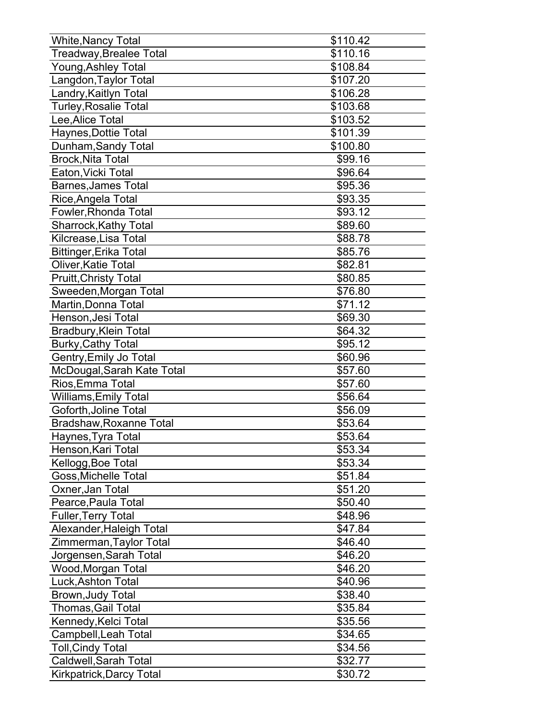| <b>White, Nancy Total</b>       | \$110.42 |
|---------------------------------|----------|
| <b>Treadway, Brealee Total</b>  | \$110.16 |
| Young, Ashley Total             | \$108.84 |
| Langdon, Taylor Total           | \$107.20 |
| Landry, Kaitlyn Total           | \$106.28 |
| <b>Turley, Rosalie Total</b>    | \$103.68 |
| Lee, Alice Total                | \$103.52 |
| Haynes, Dottie Total            | \$101.39 |
| Dunham, Sandy Total             | \$100.80 |
| <b>Brock, Nita Total</b>        | \$99.16  |
| Eaton, Vicki Total              | \$96.64  |
| <b>Barnes, James Total</b>      | \$95.36  |
| Rice, Angela Total              | \$93.35  |
| Fowler, Rhonda Total            | \$93.12  |
| <b>Sharrock, Kathy Total</b>    | \$89.60  |
| Kilcrease, Lisa Total           | \$88.78  |
| <b>Bittinger, Erika Total</b>   | \$85.76  |
| Oliver, Katie Total             | \$82.81  |
| <b>Pruitt, Christy Total</b>    | \$80.85  |
| Sweeden, Morgan Total           | \$76.80  |
| Martin, Donna Total             | \$71.12  |
| Henson, Jesi Total              | \$69.30  |
| Bradbury, Klein Total           | \$64.32  |
| <b>Burky, Cathy Total</b>       | \$95.12  |
| Gentry, Emily Jo Total          | \$60.96  |
| McDougal, Sarah Kate Total      | \$57.60  |
| Rios, Emma Total                | \$57.60  |
| <b>Williams, Emily Total</b>    | \$56.64  |
| Goforth, Joline Total           | \$56.09  |
| Bradshaw, Roxanne Total         | \$53.64  |
| Haynes, Tyra Total              | \$53.64  |
| Henson, Kari Total              | \$53.34  |
| Kellogg, Boe Total              | \$53.34  |
| Goss, Michelle Total            | \$51.84  |
| Oxner, Jan Total                | \$51.20  |
| Pearce, Paula Total             | \$50.40  |
| <b>Fuller, Terry Total</b>      | \$48.96  |
| Alexander, Haleigh Total        | \$47.84  |
| Zimmerman, Taylor Total         | \$46.40  |
| Jorgensen, Sarah Total          | \$46.20  |
| Wood, Morgan Total              | \$46.20  |
| Luck, Ashton Total              | \$40.96  |
| Brown, Judy Total               | \$38.40  |
| Thomas, Gail Total              | \$35.84  |
| Kennedy, Kelci Total            | \$35.56  |
| Campbell, Leah Total            | \$34.65  |
| <b>Toll, Cindy Total</b>        | \$34.56  |
| Caldwell, Sarah Total           | \$32.77  |
| <b>Kirkpatrick, Darcy Total</b> | \$30.72  |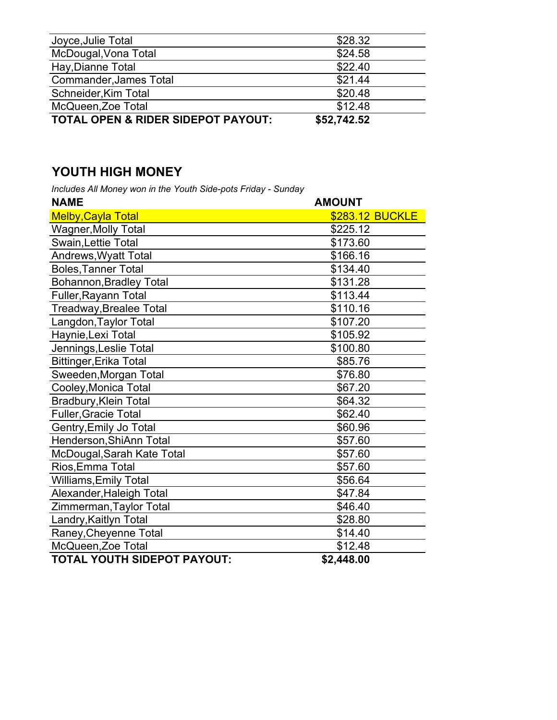| Joyce, Julie Total                 | \$28.32     |
|------------------------------------|-------------|
| McDougal, Vona Total               | \$24.58     |
| Hay, Dianne Total                  | \$22.40     |
| <b>Commander, James Total</b>      | \$21.44     |
| Schneider, Kim Total               | \$20.48     |
| McQueen, Zoe Total                 | \$12.48     |
| TOTAL OPEN & RIDER SIDEPOT PAYOUT: | \$52,742.52 |

## **YOUTH HIGH MONEY**

*Includes All Money won in the Youth Side-pots Friday - Sunday*

| <b>NAME</b>                    | <b>AMOUNT</b>   |
|--------------------------------|-----------------|
| <b>Melby, Cayla Total</b>      | \$283.12 BUCKLE |
| <b>Wagner, Molly Total</b>     | \$225.12        |
| Swain, Lettie Total            | \$173.60        |
| Andrews, Wyatt Total           | \$166.16        |
| <b>Boles, Tanner Total</b>     | \$134.40        |
| <b>Bohannon, Bradley Total</b> | \$131.28        |
| Fuller, Rayann Total           | \$113.44        |
| <b>Treadway, Brealee Total</b> | \$110.16        |
| Langdon, Taylor Total          | \$107.20        |
| Haynie, Lexi Total             | \$105.92        |
| Jennings, Leslie Total         | \$100.80        |
| <b>Bittinger, Erika Total</b>  | \$85.76         |
| Sweeden, Morgan Total          | \$76.80         |
| Cooley, Monica Total           | \$67.20         |
| Bradbury, Klein Total          | \$64.32         |
| <b>Fuller, Gracie Total</b>    | \$62.40         |
| Gentry, Emily Jo Total         | \$60.96         |
| Henderson, ShiAnn Total        | \$57.60         |
| McDougal, Sarah Kate Total     | \$57.60         |
| Rios, Emma Total               | \$57.60         |
| <b>Williams, Emily Total</b>   | \$56.64         |
| Alexander, Haleigh Total       | \$47.84         |
| Zimmerman, Taylor Total        | \$46.40         |
| Landry, Kaitlyn Total          | \$28.80         |
| Raney, Cheyenne Total          | \$14.40         |
| McQueen, Zoe Total             | \$12.48         |
| TOTAL YOUTH SIDEPOT PAYOUT:    | \$2.448.00      |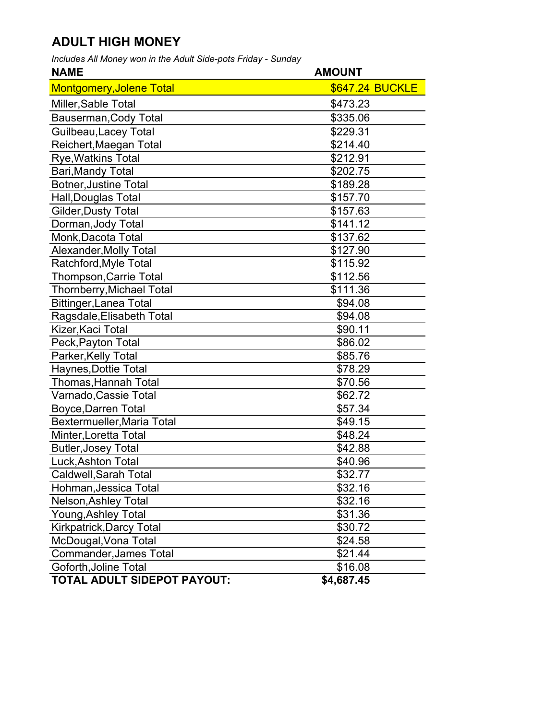## **ADULT HIGH MONEY**

*Includes All Money won in the Adult Side-pots Friday - Sunday*

| <b>NAME</b>                      | <b>AMOUNT</b>          |
|----------------------------------|------------------------|
| <b>Montgomery, Jolene Total</b>  | <b>\$647.24 BUCKLE</b> |
| Miller, Sable Total              | \$473.23               |
| Bauserman, Cody Total            | \$335.06               |
| Guilbeau, Lacey Total            | \$229.31               |
| Reichert, Maegan Total           | \$214.40               |
| <b>Rye, Watkins Total</b>        | \$212.91               |
| Bari, Mandy Total                | \$202.75               |
| <b>Botner, Justine Total</b>     | \$189.28               |
| Hall, Douglas Total              | \$157.70               |
| <b>Gilder, Dusty Total</b>       | \$157.63               |
| Dorman, Jody Total               | \$141.12               |
| Monk, Dacota Total               | \$137.62               |
| Alexander, Molly Total           | \$127.90               |
| Ratchford, Myle Total            | \$115.92               |
| <b>Thompson, Carrie Total</b>    | \$112.56               |
| <b>Thornberry, Michael Total</b> | \$111.36               |
| <b>Bittinger, Lanea Total</b>    | \$94.08                |
| Ragsdale, Elisabeth Total        | \$94.08                |
| Kizer, Kaci Total                | \$90.11                |
| Peck, Payton Total               | \$86.02                |
| Parker, Kelly Total              | \$85.76                |
| Haynes, Dottie Total             | \$78.29                |
| <b>Thomas, Hannah Total</b>      | \$70.56                |
| Varnado, Cassie Total            | \$62.72                |
| Boyce, Darren Total              | \$57.34                |
| Bextermueller, Maria Total       | \$49.15                |
| Minter, Loretta Total            | \$48.24                |
| <b>Butler, Josey Total</b>       | \$42.88                |
| Luck, Ashton Total               | \$40.96                |
| Caldwell, Sarah Total            | \$32.77                |
| Hohman, Jessica Total            | \$32.16                |
| Nelson, Ashley Total             | \$32.16                |
| Young, Ashley Total              | \$31.36                |
| Kirkpatrick, Darcy Total         | \$30.72                |
| McDougal, Vona Total             | \$24.58                |
| <b>Commander, James Total</b>    | \$21.44                |
| Goforth, Joline Total            | \$16.08                |
| TOTAL ADULT SIDEPOT PAYOUT:      | \$4,687.45             |